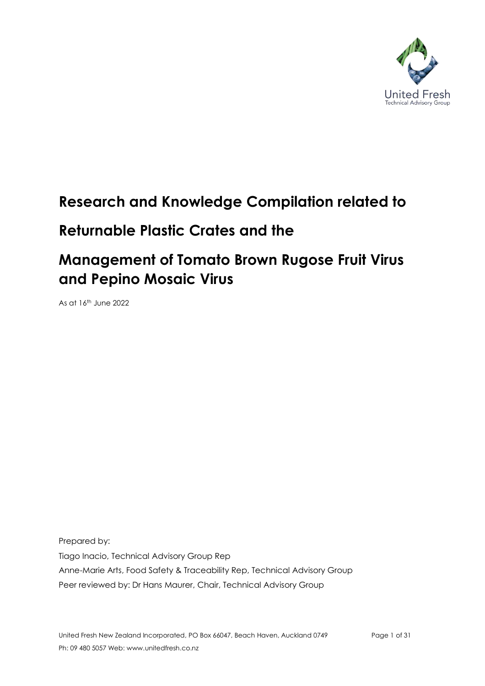

# **Research and Knowledge Compilation related to**

# **Returnable Plastic Crates and the**

# **Management of Tomato Brown Rugose Fruit Virus and Pepino Mosaic Virus**

As at 16th June 2022

Prepared by: Tiago Inacio, Technical Advisory Group Rep Anne-Marie Arts, Food Safety & Traceability Rep, Technical Advisory Group Peer reviewed by: Dr Hans Maurer, Chair, Technical Advisory Group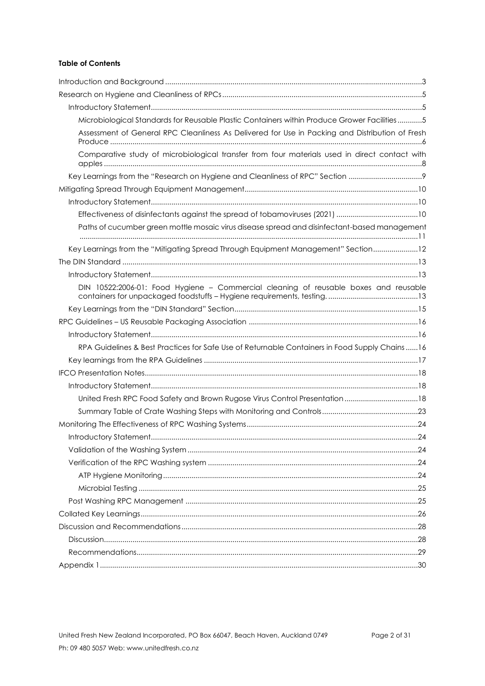## **Table of Contents**

| Microbiological Standards for Reusable Plastic Containers within Produce Grower Facilities5     |  |
|-------------------------------------------------------------------------------------------------|--|
| Assessment of General RPC Cleanliness As Delivered for Use in Packing and Distribution of Fresh |  |
| Comparative study of microbiological transfer from four materials used in direct contact with   |  |
| Key Learnings from the "Research on Hygiene and Cleanliness of RPC" Section                     |  |
|                                                                                                 |  |
|                                                                                                 |  |
|                                                                                                 |  |
| Paths of cucumber green mottle mosaic virus disease spread and disinfectant-based management    |  |
| Key Learnings from the "Mitigating Spread Through Equipment Management" Section12               |  |
|                                                                                                 |  |
|                                                                                                 |  |
| DIN 10522:2006-01: Food Hygiene - Commercial cleaning of reusable boxes and reusable            |  |
|                                                                                                 |  |
|                                                                                                 |  |
|                                                                                                 |  |
|                                                                                                 |  |
| RPA Guidelines & Best Practices for Safe Use of Returnable Containers in Food Supply Chains 16  |  |
|                                                                                                 |  |
|                                                                                                 |  |
|                                                                                                 |  |
| United Fresh RPC Food Safety and Brown Rugose Virus Control Presentation  18                    |  |
|                                                                                                 |  |
|                                                                                                 |  |
|                                                                                                 |  |
|                                                                                                 |  |
|                                                                                                 |  |
|                                                                                                 |  |
|                                                                                                 |  |
|                                                                                                 |  |
|                                                                                                 |  |
|                                                                                                 |  |
|                                                                                                 |  |
|                                                                                                 |  |
|                                                                                                 |  |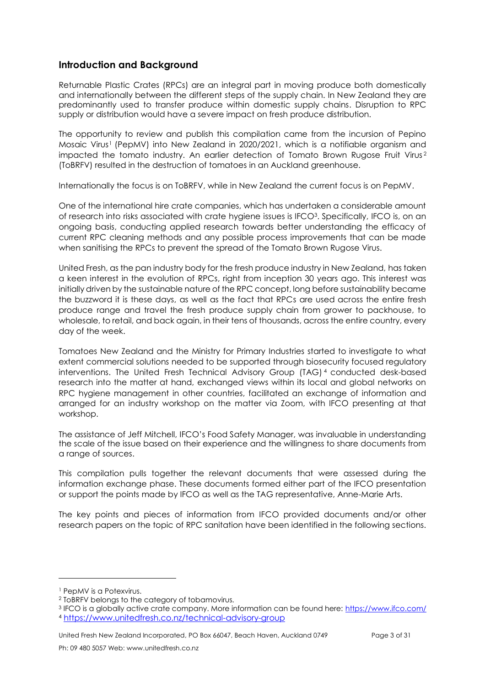# <span id="page-2-0"></span>**Introduction and Background**

Returnable Plastic Crates (RPCs) are an integral part in moving produce both domestically and internationally between the different steps of the supply chain. In New Zealand they are predominantly used to transfer produce within domestic supply chains. Disruption to RPC supply or distribution would have a severe impact on fresh produce distribution.

The opportunity to review and publish this compilation came from the incursion of Pepino Mosaic Virus <sup>1</sup> (PepMV) into New Zealand in 2020/2021, which is a notifiable organism and impacted the tomato industry. An earlier detection of Tomato Brown Rugose Fruit Virus <sup>2</sup> (ToBRFV) resulted in the destruction of tomatoes in an Auckland greenhouse.

Internationally the focus is on ToBRFV, while in New Zealand the current focus is on PepMV.

One of the international hire crate companies, which has undertaken a considerable amount of research into risks associated with crate hygiene issues is IFCO<sup>3</sup>. Specifically, IFCO is, on an ongoing basis, conducting applied research towards better understanding the efficacy of current RPC cleaning methods and any possible process improvements that can be made when sanitising the RPCs to prevent the spread of the Tomato Brown Rugose Virus.

United Fresh, as the pan industry body for the fresh produce industry in New Zealand, has taken a keen interest in the evolution of RPCs, right from inception 30 years ago. This interest was initially driven by the sustainable nature of the RPC concept, long before sustainability became the buzzword it is these days, as well as the fact that RPCs are used across the entire fresh produce range and travel the fresh produce supply chain from grower to packhouse, to wholesale, to retail, and back again, in their tens of thousands, across the entire country, every day of the week.

Tomatoes New Zealand and the Ministry for Primary Industries started to investigate to what extent commercial solutions needed to be supported through biosecurity focused regulatory interventions. The United Fresh Technical Advisory Group (TAG) <sup>4</sup> conducted desk-based research into the matter at hand, exchanged views within its local and global networks on RPC hygiene management in other countries, facilitated an exchange of information and arranged for an industry workshop on the matter via Zoom, with IFCO presenting at that workshop.

The assistance of Jeff Mitchell, IFCO's Food Safety Manager, was invaluable in understanding the scale of the issue based on their experience and the willingness to share documents from a range of sources.

This compilation pulls together the relevant documents that were assessed during the information exchange phase. These documents formed either part of the IFCO presentation or support the points made by IFCO as well as the TAG representative, Anne-Marie Arts.

The key points and pieces of information from IFCO provided documents and/or other research papers on the topic of RPC sanitation have been identified in the following sections.

<sup>&</sup>lt;sup>1</sup> PepMV is a Potexvirus.

<sup>2</sup> ToBRFV belongs to the category of tobamovirus.

<sup>&</sup>lt;sup>3</sup> IFCO is a globally active crate company. More information can be found here: <u>https://www.ifco.com/</u> <sup>4</sup> <https://www.unitedfresh.co.nz/technical-advisory-group>

United Fresh New Zealand Incorporated, PO Box 66047, Beach Haven, Auckland 0749 Page 3 of 31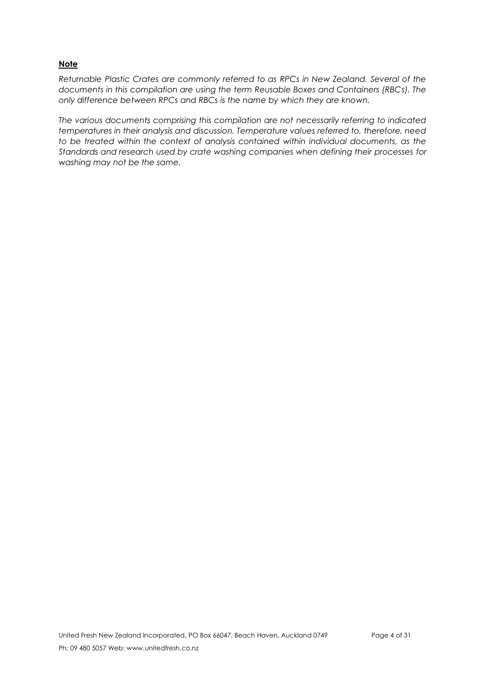## **Note**

*Returnable Plastic Crates are commonly referred to as RPCs in New Zealand. Several of the documents in this compilation are using the term Reusable Boxes and Containers (RBCs). The only difference between RPCs and RBCs is the name by which they are known.*

*The various documents comprising this compilation are not necessarily referring to indicated temperatures in their analysis and discussion. Temperature values referred to, therefore, need to be treated within the context of analysis contained within individual documents, as the Standards and research used by crate washing companies when defining their processes for washing may not be the same.*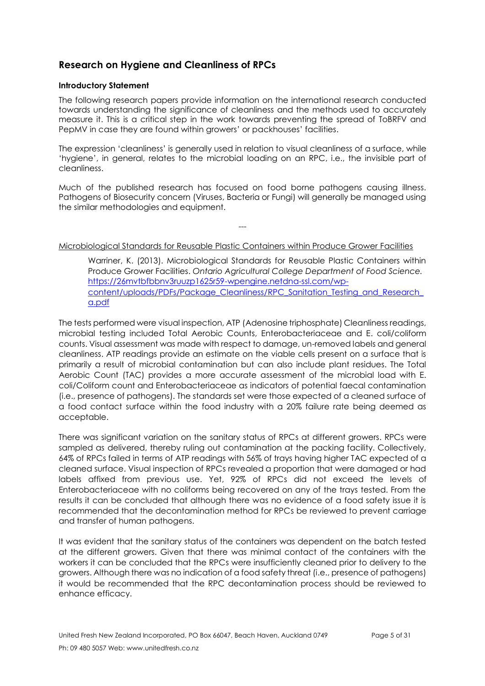# <span id="page-4-0"></span>**Research on Hygiene and Cleanliness of RPCs**

#### <span id="page-4-1"></span>**Introductory Statement**

The following research papers provide information on the international research conducted towards understanding the significance of cleanliness and the methods used to accurately measure it. This is a critical step in the work towards preventing the spread of ToBRFV and PepMV in case they are found within growers' or packhouses' facilities.

The expression 'cleanliness' is generally used in relation to visual cleanliness of a surface, while 'hygiene', in general, relates to the microbial loading on an RPC, i.e., the invisible part of cleanliness.

Much of the published research has focused on food borne pathogens causing illness. Pathogens of Biosecurity concern (Viruses, Bacteria or Fungi) will generally be managed using the similar methodologies and equipment.

---

### <span id="page-4-2"></span>Microbiological Standards for Reusable Plastic Containers within Produce Grower Facilities

Warriner, K. (2013). Microbiological Standards for Reusable Plastic Containers within Produce Grower Facilities. *Ontario Agricultural College Department of Food Science.* [https://26mvtbfbbnv3ruuzp1625r59-wpengine.netdna-ssl.com/wp](https://26mvtbfbbnv3ruuzp1625r59-wpengine.netdna-ssl.com/wp-content/uploads/PDFs/Package_Cleanliness/RPC_Sanitation_Testing_and_Research_a.pdf)[content/uploads/PDFs/Package\\_Cleanliness/RPC\\_Sanitation\\_Testing\\_and\\_Research\\_](https://26mvtbfbbnv3ruuzp1625r59-wpengine.netdna-ssl.com/wp-content/uploads/PDFs/Package_Cleanliness/RPC_Sanitation_Testing_and_Research_a.pdf) [a.pdf](https://26mvtbfbbnv3ruuzp1625r59-wpengine.netdna-ssl.com/wp-content/uploads/PDFs/Package_Cleanliness/RPC_Sanitation_Testing_and_Research_a.pdf)

The tests performed were visual inspection, ATP (Adenosine triphosphate) Cleanliness readings, microbial testing included Total Aerobic Counts, Enterobacteriaceae and E. coli/coliform counts. Visual assessment was made with respect to damage, un-removed labels and general cleanliness. ATP readings provide an estimate on the viable cells present on a surface that is primarily a result of microbial contamination but can also include plant residues. The Total Aerobic Count (TAC) provides a more accurate assessment of the microbial load with E. coli/Coliform count and Enterobacteriaceae as indicators of potential faecal contamination (i.e., presence of pathogens). The standards set were those expected of a cleaned surface of a food contact surface within the food industry with a 20% failure rate being deemed as acceptable.

There was significant variation on the sanitary status of RPCs at different growers. RPCs were sampled as delivered, thereby ruling out contamination at the packing facility. Collectively, 64% of RPCs failed in terms of ATP readings with 56% of trays having higher TAC expected of a cleaned surface. Visual inspection of RPCs revealed a proportion that were damaged or had labels affixed from previous use. Yet, 92% of RPCs did not exceed the levels of Enterobacteriaceae with no coliforms being recovered on any of the trays tested. From the results it can be concluded that although there was no evidence of a food safety issue it is recommended that the decontamination method for RPCs be reviewed to prevent carriage and transfer of human pathogens.

It was evident that the sanitary status of the containers was dependent on the batch tested at the different growers. Given that there was minimal contact of the containers with the workers it can be concluded that the RPCs were insufficiently cleaned prior to delivery to the growers. Although there was no indication of a food safety threat (i.e., presence of pathogens) it would be recommended that the RPC decontamination process should be reviewed to enhance efficacy.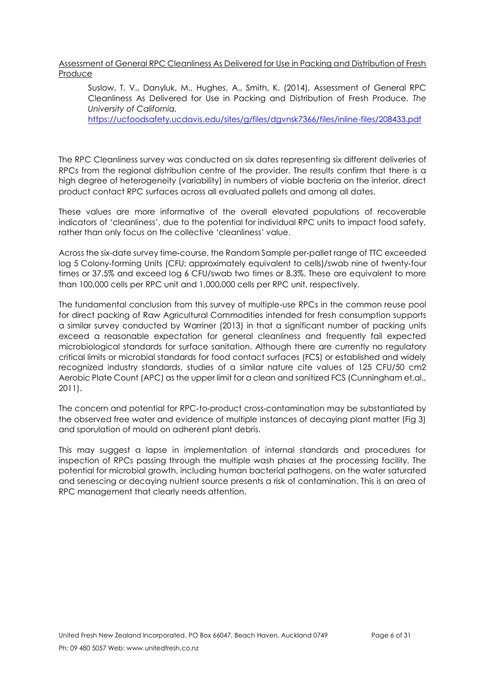<span id="page-5-0"></span>Assessment of General RPC Cleanliness As Delivered for Use in Packing and Distribution of Fresh Produce

Suslow, T. V., Danyluk, M., Hughes, A., Smith, K. (2014). Assessment of General RPC Cleanliness As Delivered for Use in Packing and Distribution of Fresh Produce. *The University of California.*

<https://ucfoodsafety.ucdavis.edu/sites/g/files/dgvnsk7366/files/inline-files/208433.pdf>

The RPC Cleanliness survey was conducted on six dates representing six different deliveries of RPCs from the regional distribution centre of the provider. The results confirm that there is a high degree of heterogeneity (variability) in numbers of viable bacteria on the interior, direct product contact RPC surfaces across all evaluated pallets and among all dates.

These values are more informative of the overall elevated populations of recoverable indicators of 'cleanliness', due to the potential for individual RPC units to impact food safety, rather than only focus on the collective 'cleanliness' value.

Across the six-date survey time‐course, the Random Sample per‐pallet range of TTC exceeded log 5 Colony‐forming Units (CFU; approximately equivalent to cells)/swab nine of twenty‐four times or 37.5% and exceed log 6 CFU/swab two times or 8.3%. These are equivalent to more than 100,000 cells per RPC unit and 1,000,000 cells per RPC unit, respectively.

The fundamental conclusion from this survey of multiple‐use RPCs in the common reuse pool for direct packing of Raw Agricultural Commodities intended for fresh consumption supports a similar survey conducted by Warriner (2013) in that a significant number of packing units exceed a reasonable expectation for general cleanliness and frequently fail expected microbiological standards for surface sanitation. Although there are currently no regulatory critical limits or microbial standards for food contact surfaces (FCS) or established and widely recognized industry standards, studies of a similar nature cite values of 125 CFU/50 cm2 Aerobic Plate Count (APC) as the upper limit for a clean and sanitized FCS (Cunningham et.al., 2011).

The concern and potential for RPC‐to‐product cross‐contamination may be substantiated by the observed free water and evidence of multiple instances of decaying plant matter (Fig 3) and sporulation of mould on adherent plant debris.

This may suggest a lapse in implementation of internal standards and procedures for inspection of RPCs passing through the multiple wash phases at the processing facility. The potential for microbial growth, including human bacterial pathogens, on the water saturated and senescing or decaying nutrient source presents a risk of contamination. This is an area of RPC management that clearly needs attention.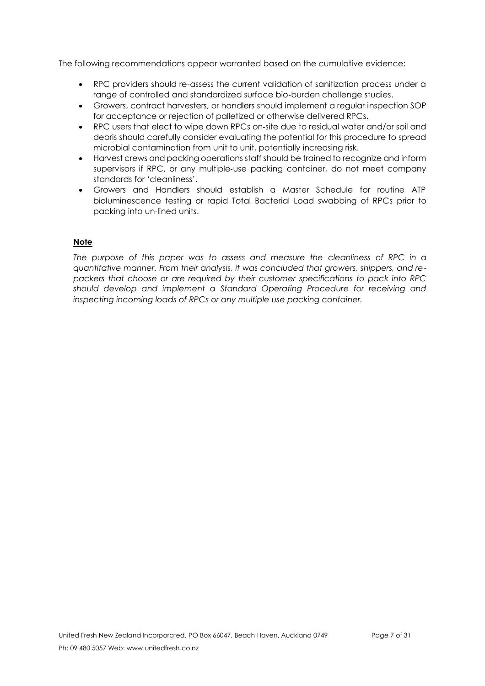The following recommendations appear warranted based on the cumulative evidence:

- RPC providers should re-assess the current validation of sanitization process under a range of controlled and standardized surface bio‐burden challenge studies.
- Growers, contract harvesters, or handlers should implement a regular inspection SOP for acceptance or rejection of palletized or otherwise delivered RPCs.
- RPC users that elect to wipe down RPCs on-site due to residual water and/or soil and debris should carefully consider evaluating the potential for this procedure to spread microbial contamination from unit to unit, potentially increasing risk.
- Harvest crews and packing operations staff should be trained to recognize and inform supervisors if RPC, or any multiple‐use packing container, do not meet company standards for 'cleanliness'.
- Growers and Handlers should establish a Master Schedule for routine ATP bioluminescence testing or rapid Total Bacterial Load swabbing of RPCs prior to packing into un‐lined units.

## **Note**

*The purpose of this paper was to assess and measure the cleanliness of RPC in a quantitative manner. From their analysis, it was concluded that growers, shippers, and re*‐ *packers that choose or are required by their customer specifications to pack into RPC should develop and implement a Standard Operating Procedure for receiving and inspecting incoming loads of RPCs or any multiple use packing container.*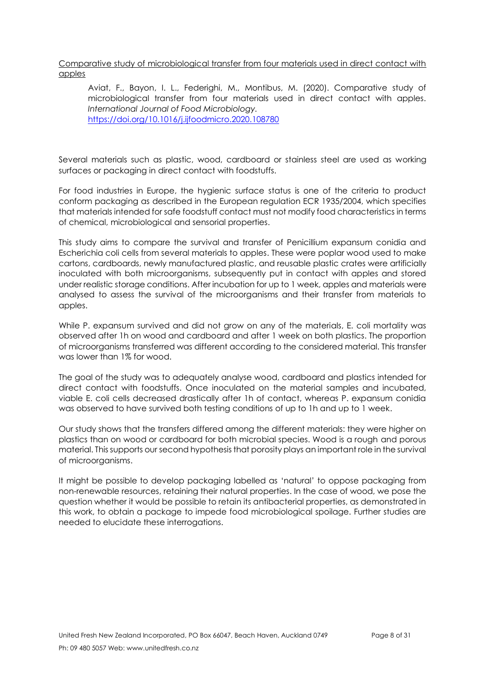<span id="page-7-0"></span>Comparative study of microbiological transfer from four materials used in direct contact with apples

Aviat, F., Bayon, I. L., Federighi, M., Montibus, M. (2020). Comparative study of microbiological transfer from four materials used in direct contact with apples. *International Journal of Food Microbiology.* <https://doi.org/10.1016/j.ijfoodmicro.2020.108780>

Several materials such as plastic, wood, cardboard or stainless steel are used as working surfaces or packaging in direct contact with foodstuffs.

For food industries in Europe, the hygienic surface status is one of the criteria to product conform packaging as described in the European regulation ECR 1935/2004, which specifies that materials intended for safe foodstuff contact must not modify food characteristics in terms of chemical, microbiological and sensorial properties.

This study aims to compare the survival and transfer of Penicillium expansum conidia and Escherichia coli cells from several materials to apples. These were poplar wood used to make cartons, cardboards, newly manufactured plastic, and reusable plastic crates were artificially inoculated with both microorganisms, subsequently put in contact with apples and stored under realistic storage conditions. After incubation for up to 1 week, apples and materials were analysed to assess the survival of the microorganisms and their transfer from materials to apples.

While P. expansum survived and did not grow on any of the materials, E. coli mortality was observed after 1h on wood and cardboard and after 1 week on both plastics. The proportion of microorganisms transferred was different according to the considered material. This transfer was lower than 1% for wood.

The goal of the study was to adequately analyse wood, cardboard and plastics intended for direct contact with foodstuffs. Once inoculated on the material samples and incubated, viable E. coli cells decreased drastically after 1h of contact, whereas P. expansum conidia was observed to have survived both testing conditions of up to 1h and up to 1 week.

Our study shows that the transfers differed among the different materials: they were higher on plastics than on wood or cardboard for both microbial species. Wood is a rough and porous material. This supports our second hypothesis that porosity plays an important role in the survival of microorganisms.

It might be possible to develop packaging labelled as 'natural' to oppose packaging from non-renewable resources, retaining their natural properties. In the case of wood, we pose the question whether it would be possible to retain its antibacterial properties, as demonstrated in this work, to obtain a package to impede food microbiological spoilage. Further studies are needed to elucidate these interrogations.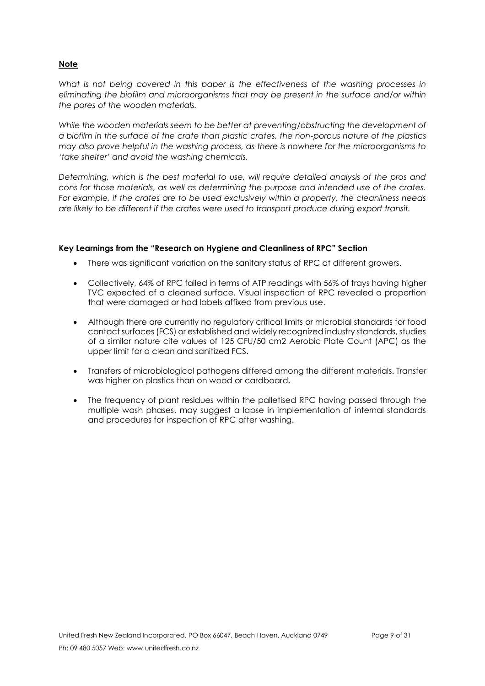## **Note**

*What is not being covered in this paper is the effectiveness of the washing processes in eliminating the biofilm and microorganisms that may be present in the surface and/or within the pores of the wooden materials.* 

*While the wooden materials seem to be better at preventing/obstructing the development of a biofilm in the surface of the crate than plastic crates, the non-porous nature of the plastics may also prove helpful in the washing process, as there is nowhere for the microorganisms to 'take shelter' and avoid the washing chemicals.*

*Determining, which is the best material to use, will require detailed analysis of the pros and cons for those materials, as well as determining the purpose and intended use of the crates. For example, if the crates are to be used exclusively within a property, the cleanliness needs are likely to be different if the crates were used to transport produce during export transit.*

#### <span id="page-8-0"></span>**Key Learnings from the "Research on Hygiene and Cleanliness of RPC" Section**

- There was significant variation on the sanitary status of RPC at different growers.
- Collectively, 64% of RPC failed in terms of ATP readings with 56% of trays having higher TVC expected of a cleaned surface. Visual inspection of RPC revealed a proportion that were damaged or had labels affixed from previous use.
- Although there are currently no regulatory critical limits or microbial standards for food contact surfaces (FCS) or established and widely recognized industry standards, studies of a similar nature cite values of 125 CFU/50 cm2 Aerobic Plate Count (APC) as the upper limit for a clean and sanitized FCS.
- Transfers of microbiological pathogens differed among the different materials. Transfer was higher on plastics than on wood or cardboard.
- The frequency of plant residues within the palletised RPC having passed through the multiple wash phases, may suggest a lapse in implementation of internal standards and procedures for inspection of RPC after washing.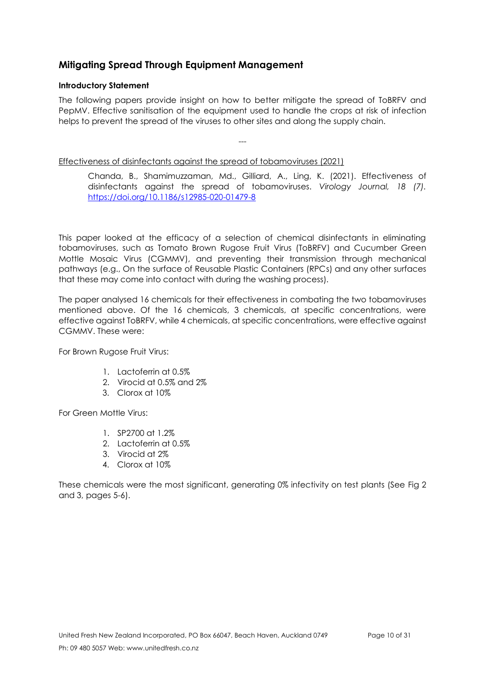# <span id="page-9-0"></span>**Mitigating Spread Through Equipment Management**

## <span id="page-9-1"></span>**Introductory Statement**

The following papers provide insight on how to better mitigate the spread of ToBRFV and PepMV. Effective sanitisation of the equipment used to handle the crops at risk of infection helps to prevent the spread of the viruses to other sites and along the supply chain.

---

<span id="page-9-2"></span>Effectiveness of disinfectants against the spread of tobamoviruses (2021)

Chanda, B., Shamimuzzaman, Md., Gilliard, A., Ling, K. (2021). Effectiveness of disinfectants against the spread of tobamoviruses. *Virology Journal, 18 (7).*  <https://doi.org/10.1186/s12985-020-01479-8>

This paper looked at the efficacy of a selection of chemical disinfectants in eliminating tobamoviruses, such as Tomato Brown Rugose Fruit Virus (ToBRFV) and Cucumber Green Mottle Mosaic Virus (CGMMV), and preventing their transmission through mechanical pathways (e.g., On the surface of Reusable Plastic Containers (RPCs) and any other surfaces that these may come into contact with during the washing process).

The paper analysed 16 chemicals for their effectiveness in combating the two tobamoviruses mentioned above. Of the 16 chemicals, 3 chemicals, at specific concentrations, were effective against ToBRFV, while 4 chemicals, at specific concentrations, were effective against CGMMV. These were:

For Brown Rugose Fruit Virus:

- 1. Lactoferrin at 0.5%
- 2. Virocid at 0.5% and 2%
- 3. Clorox at 10%

For Green Mottle Virus:

- 1. SP2700 at 1.2%
- 2. Lactoferrin at 0.5%
- 3. Virocid at 2%
- 4. Clorox at 10%

These chemicals were the most significant, generating 0% infectivity on test plants (See Fig 2 and 3, pages 5-6).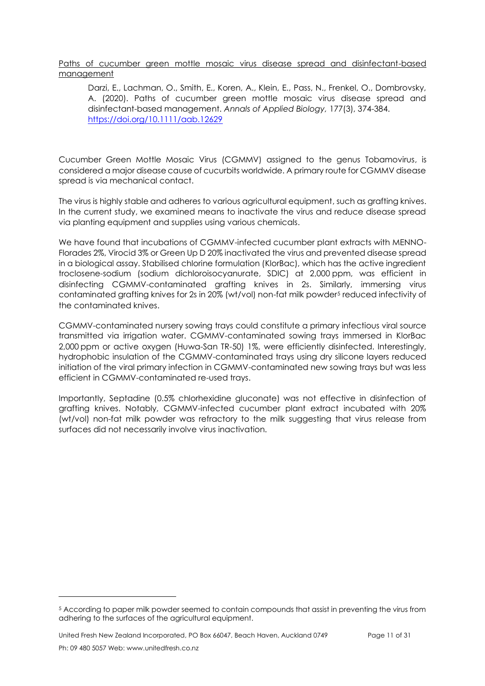<span id="page-10-0"></span>Paths of cucumber green mottle mosaic virus disease spread and disinfectant-based management

Darzi, E., Lachman, O., Smith, E., Koren, A., Klein, E., Pass, N., Frenkel, O., Dombrovsky, A. (2020). Paths of cucumber green mottle mosaic virus disease spread and disinfectant-based management. *Annals of Applied Biology,* 177(3), 374-384. <https://doi.org/10.1111/aab.12629>

Cucumber Green Mottle Mosaic Virus (CGMMV) assigned to the genus Tobamovirus, is considered a major disease cause of cucurbits worldwide. A primary route for CGMMV disease spread is via mechanical contact.

The virus is highly stable and adheres to various agricultural equipment, such as grafting knives. In the current study, we examined means to inactivate the virus and reduce disease spread via planting equipment and supplies using various chemicals.

We have found that incubations of CGMMV-infected cucumber plant extracts with MENNO-Florades 2%, Virocid 3% or Green Up D 20% inactivated the virus and prevented disease spread in a biological assay. Stabilised chlorine formulation (KlorBac), which has the active ingredient troclosene-sodium (sodium dichloroisocyanurate, SDIC) at 2,000 ppm, was efficient in disinfecting CGMMV-contaminated grafting knives in 2s. Similarly, immersing virus contaminated grafting knives for 2s in 20% (wt/vol) non-fat milk powder<sup>5</sup> reduced infectivity of the contaminated knives.

CGMMV-contaminated nursery sowing trays could constitute a primary infectious viral source transmitted via irrigation water. CGMMV-contaminated sowing trays immersed in KlorBac 2,000 ppm or active oxygen (Huwa-San TR-50) 1%, were efficiently disinfected. Interestingly, hydrophobic insulation of the CGMMV-contaminated trays using dry silicone layers reduced initiation of the viral primary infection in CGMMV-contaminated new sowing trays but was less efficient in CGMMV-contaminated re-used trays.

Importantly, Septadine (0.5% chlorhexidine gluconate) was not effective in disinfection of grafting knives. Notably, CGMMV-infected cucumber plant extract incubated with 20% (wt/vol) non-fat milk powder was refractory to the milk suggesting that virus release from surfaces did not necessarily involve virus inactivation.

United Fresh New Zealand Incorporated, PO Box 66047, Beach Haven, Auckland 0749 Page 11 of 31

<sup>5</sup> According to paper milk powder seemed to contain compounds that assist in preventing the virus from adhering to the surfaces of the agricultural equipment.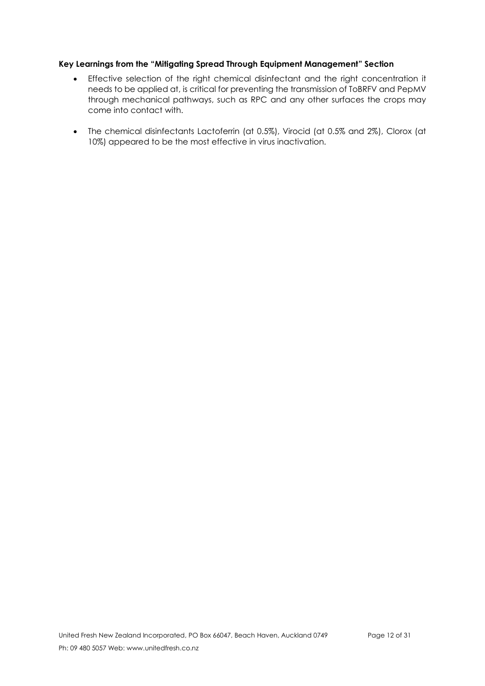## <span id="page-11-0"></span>**Key Learnings from the "Mitigating Spread Through Equipment Management" Section**

- Effective selection of the right chemical disinfectant and the right concentration it needs to be applied at, is critical for preventing the transmission of ToBRFV and PepMV through mechanical pathways, such as RPC and any other surfaces the crops may come into contact with.
- The chemical disinfectants Lactoferrin (at 0.5%), Virocid (at 0.5% and 2%), Clorox (at 10%) appeared to be the most effective in virus inactivation.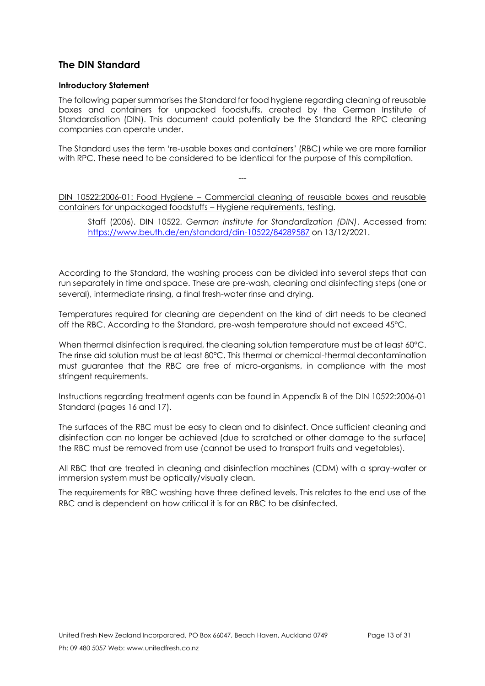# <span id="page-12-0"></span>**The DIN Standard**

## <span id="page-12-1"></span>**Introductory Statement**

The following paper summarises the Standard for food hygiene regarding cleaning of reusable boxes and containers for unpacked foodstuffs, created by the German Institute of Standardisation (DIN). This document could potentially be the Standard the RPC cleaning companies can operate under.

The Standard uses the term 're-usable boxes and containers' (RBC) while we are more familiar with RPC. These need to be considered to be identical for the purpose of this compilation.

<span id="page-12-2"></span>DIN 10522:2006-01: Food Hygiene – Commercial cleaning of reusable boxes and reusable containers for unpackaged foodstuffs – Hygiene requirements, testing.

---

Staff (2006). DIN 10522. *German Institute for Standardization (DIN)*. Accessed from: <https://www.beuth.de/en/standard/din-10522/84289587> on 13/12/2021.

According to the Standard, the washing process can be divided into several steps that can run separately in time and space. These are pre-wash, cleaning and disinfecting steps (one or several), intermediate rinsing, a final fresh-water rinse and drying.

Temperatures required for cleaning are dependent on the kind of dirt needs to be cleaned off the RBC. According to the Standard, pre-wash temperature should not exceed 45°C.

When thermal disinfection is required, the cleaning solution temperature must be at least 60°C. The rinse aid solution must be at least 80°C. This thermal or chemical-thermal decontamination must guarantee that the RBC are free of micro-organisms, in compliance with the most stringent requirements.

Instructions regarding treatment agents can be found in Appendix B of the DIN 10522:2006-01 Standard (pages 16 and 17).

The surfaces of the RBC must be easy to clean and to disinfect. Once sufficient cleaning and disinfection can no longer be achieved (due to scratched or other damage to the surface) the RBC must be removed from use (cannot be used to transport fruits and vegetables).

All RBC that are treated in cleaning and disinfection machines (CDM) with a spray-water or immersion system must be optically/visually clean.

The requirements for RBC washing have three defined levels. This relates to the end use of the RBC and is dependent on how critical it is for an RBC to be disinfected.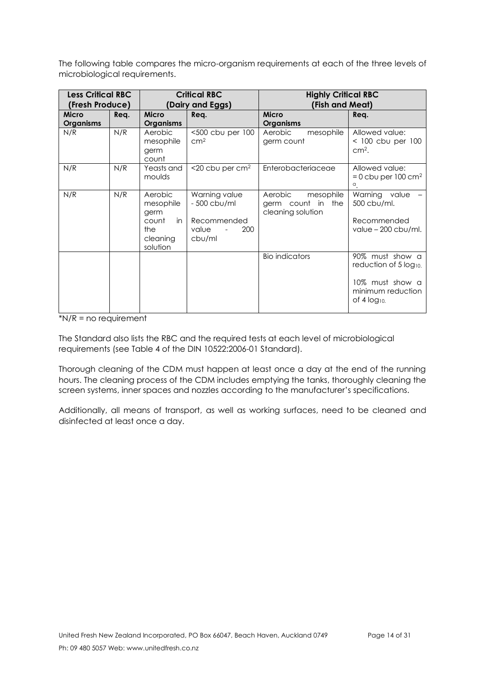The following table compares the micro-organism requirements at each of the three levels of microbiological requirements.

| <b>Less Critical RBC</b><br>(Fresh Produce) |      | <b>Critical RBC</b><br>(Dairy and Eggs)                                    |                                                                        | <b>Highly Critical RBC</b><br>(Fish and Meat)                  |                                                                                                       |
|---------------------------------------------|------|----------------------------------------------------------------------------|------------------------------------------------------------------------|----------------------------------------------------------------|-------------------------------------------------------------------------------------------------------|
| <b>Micro</b><br><b>Organisms</b>            | Req. | <b>Micro</b><br><b>Organisms</b>                                           | Req.                                                                   | <b>Micro</b><br><b>Organisms</b>                               | Rea.                                                                                                  |
| N/R                                         | N/R  | Aerobic<br>mesophile<br>germ<br>count                                      | <500 cbu per 100<br>cm <sup>2</sup>                                    | Aerobic<br>mesophile<br>germ count                             | Allowed value:<br>$<$ 100 cbu per 100<br>$cm2$ .                                                      |
| N/R                                         | N/R  | Yeasts and<br>moulds                                                       | <20 cbu per cm <sup>2</sup>                                            | Enterobacteriaceae                                             | Allowed value:<br>$= 0$ cbu per 100 cm <sup>2</sup><br>$\alpha$ .                                     |
| N/R                                         | N/R  | Aerobic<br>mesophile<br>germ<br>count<br>in<br>the<br>cleaning<br>solution | Warning value<br>- 500 cbu/ml<br>Recommended<br>value<br>200<br>cbu/ml | Aerobic<br>mesophile<br>germ count in the<br>cleaning solution | Warning value<br>500 cbu/ml.<br>Recommended<br>value $-200$ cbu/ml.                                   |
|                                             |      |                                                                            |                                                                        | <b>Bio indicators</b>                                          | 90% must show a<br>reduction of 5 log10.<br>10% must show a<br>minimum reduction<br>of 4 $log_{10}$ . |

 $N/R$  = no requirement

The Standard also lists the RBC and the required tests at each level of microbiological requirements (see Table 4 of the DIN 10522:2006-01 Standard).

Thorough cleaning of the CDM must happen at least once a day at the end of the running hours. The cleaning process of the CDM includes emptying the tanks, thoroughly cleaning the screen systems, inner spaces and nozzles according to the manufacturer's specifications.

Additionally, all means of transport, as well as working surfaces, need to be cleaned and disinfected at least once a day.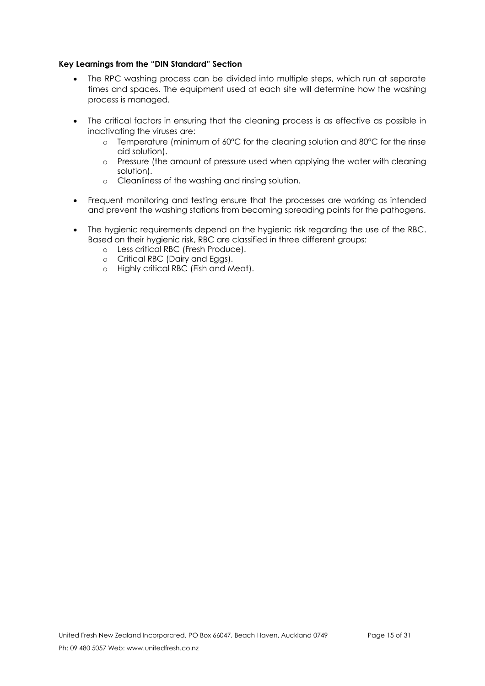### <span id="page-14-0"></span>**Key Learnings from the "DIN Standard" Section**

- The RPC washing process can be divided into multiple steps, which run at separate times and spaces. The equipment used at each site will determine how the washing process is managed.
- The critical factors in ensuring that the cleaning process is as effective as possible in inactivating the viruses are:
	- o Temperature (minimum of 60°C for the cleaning solution and 80°C for the rinse aid solution).
	- o Pressure (the amount of pressure used when applying the water with cleaning solution).
	- o Cleanliness of the washing and rinsing solution.
- Frequent monitoring and testing ensure that the processes are working as intended and prevent the washing stations from becoming spreading points for the pathogens.
- The hygienic requirements depend on the hygienic risk regarding the use of the RBC. Based on their hygienic risk, RBC are classified in three different groups:
	- o Less critical RBC (Fresh Produce).
	- o Critical RBC (Dairy and Eggs).
	- o Highly critical RBC (Fish and Meat).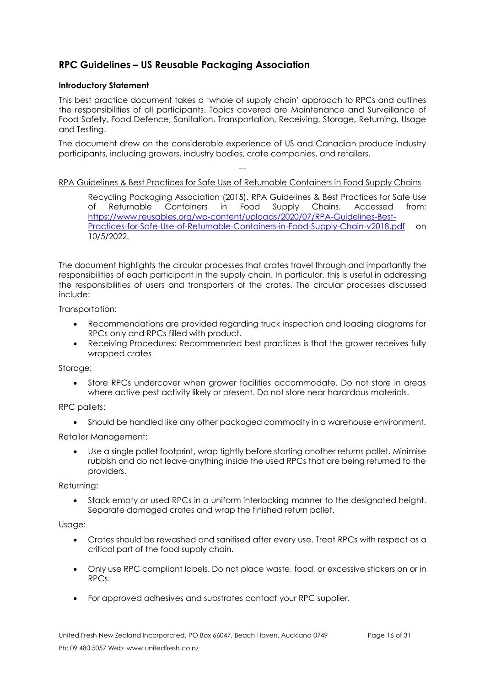# <span id="page-15-0"></span>**RPC Guidelines – US Reusable Packaging Association**

## <span id="page-15-1"></span>**Introductory Statement**

This best practice document takes a 'whole of supply chain' approach to RPCs and outlines the responsibilities of all participants. Topics covered are Maintenance and Surveillance of Food Safety, Food Defence, Sanitation, Transportation, Receiving, Storage, Returning, Usage and Testing.

The document drew on the considerable experience of US and Canadian produce industry participants, including growers, industry bodies, crate companies, and retailers.

# <span id="page-15-2"></span>--- RPA Guidelines & Best Practices for Safe Use of Returnable Containers in Food Supply Chains

Recycling Packaging Association (2015). RPA Guidelines & Best Practices for Safe Use of Returnable Containers in Food Supply Chains. Accessed from: [https://www.reusables.org/wp-content/uploads/2020/07/RPA-Guidelines-Best-](https://www.reusables.org/wp-content/uploads/2020/07/RPA-Guidelines-Best-Practices-for-Safe-Use-of-Returnable-Containers-in-Food-Supply-Chain-v2018.pdf)[Practices-for-Safe-Use-of-Returnable-Containers-in-Food-Supply-Chain-v2018.pdf](https://www.reusables.org/wp-content/uploads/2020/07/RPA-Guidelines-Best-Practices-for-Safe-Use-of-Returnable-Containers-in-Food-Supply-Chain-v2018.pdf) on 10/5/2022.

The document highlights the circular processes that crates travel through and importantly the responsibilities of each participant in the supply chain. In particular, this is useful in addressing the responsibilities of users and transporters of the crates. The circular processes discussed include:

Transportation:

- Recommendations are provided regarding truck inspection and loading diagrams for RPCs only and RPCs filled with product.
- Receiving Procedures: Recommended best practices is that the grower receives fully wrapped crates

Storage:

• Store RPCs undercover when grower facilities accommodate. Do not store in areas where active pest activity likely or present. Do not store near hazardous materials.

RPC pallets:

• Should be handled like any other packaged commodity in a warehouse environment.

Retailer Management:

• Use a single pallet footprint, wrap tightly before starting another returns pallet. Minimise rubbish and do not leave anything inside the used RPCs that are being returned to the providers.

Returning:

• Stack empty or used RPCs in a uniform interlocking manner to the designated height. Separate damaged crates and wrap the finished return pallet.

Usage:

- Crates should be rewashed and sanitised after every use. Treat RPCs with respect as a critical part of the food supply chain.
- Only use RPC compliant labels. Do not place waste, food, or excessive stickers on or in RPCs.
- For approved adhesives and substrates contact your RPC supplier.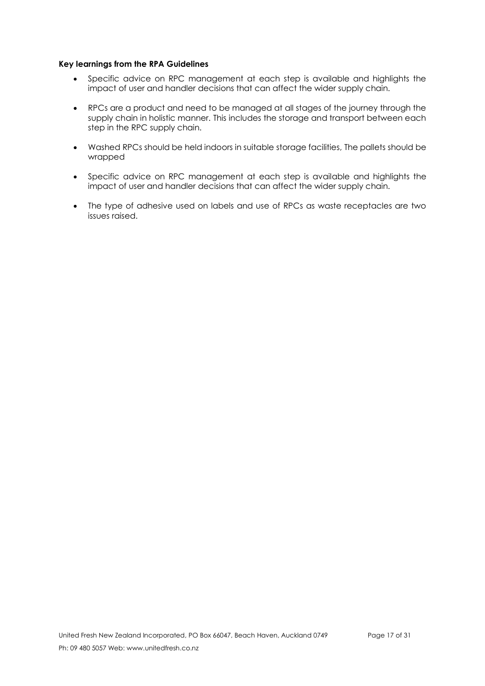#### <span id="page-16-0"></span>**Key learnings from the RPA Guidelines**

- Specific advice on RPC management at each step is available and highlights the impact of user and handler decisions that can affect the wider supply chain.
- RPCs are a product and need to be managed at all stages of the journey through the supply chain in holistic manner. This includes the storage and transport between each step in the RPC supply chain.
- Washed RPCs should be held indoors in suitable storage facilities, The pallets should be wrapped
- Specific advice on RPC management at each step is available and highlights the impact of user and handler decisions that can affect the wider supply chain.
- The type of adhesive used on labels and use of RPCs as waste receptacles are two issues raised.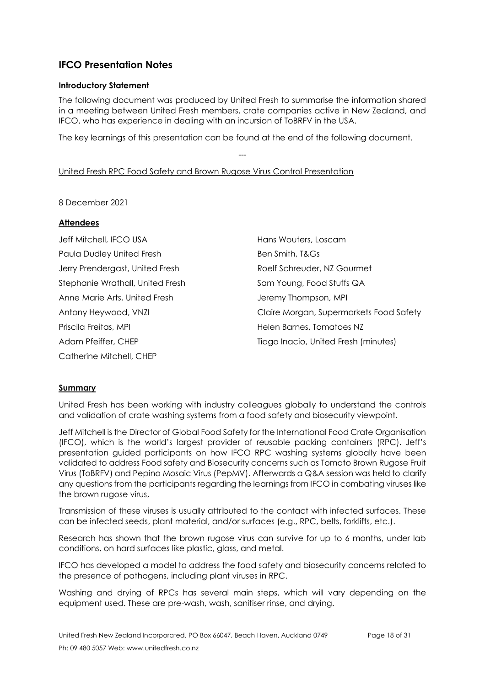# <span id="page-17-0"></span>**IFCO Presentation Notes**

## <span id="page-17-1"></span>**Introductory Statement**

The following document was produced by United Fresh to summarise the information shared in a meeting between United Fresh members, crate companies active in New Zealand, and IFCO, who has experience in dealing with an incursion of ToBRFV in the USA.

The key learnings of this presentation can be found at the end of the following document.

---

## <span id="page-17-2"></span>United Fresh RPC Food Safety and Brown Rugose Virus Control Presentation

8 December 2021

## **Attendees**

| Jeff Mitchell, IFCO USA          | Hans Wouters, Loscam                    |
|----------------------------------|-----------------------------------------|
| Paula Dudley United Fresh        | Ben Smith, T&Gs                         |
| Jerry Prendergast, United Fresh  | Roelf Schreuder, NZ Gourmet             |
| Stephanie Wrathall, United Fresh | Sam Young, Food Stuffs QA               |
| Anne Marie Arts, United Fresh    | Jeremy Thompson, MPI                    |
| Antony Heywood, VNZI             | Claire Morgan, Supermarkets Food Safety |
| Priscila Freitas, MPI            | Helen Barnes, Tomatoes NZ               |
| Adam Pfeiffer, CHEP              | Tiago Inacio, United Fresh (minutes)    |
| Catherine Mitchell, CHEP         |                                         |

#### **Summary**

United Fresh has been working with industry colleagues globally to understand the controls and validation of crate washing systems from a food safety and biosecurity viewpoint.

Jeff Mitchell is the Director of Global Food Safety for the International Food Crate Organisation (IFCO), which is the world's largest provider of reusable packing containers (RPC). Jeff's presentation guided participants on how IFCO RPC washing systems globally have been validated to address Food safety and Biosecurity concerns such as Tomato Brown Rugose Fruit Virus (ToBRFV) and Pepino Mosaic Virus (PepMV). Afterwards a Q&A session was held to clarify any questions from the participants regarding the learnings from IFCO in combating viruses like the brown rugose virus,

Transmission of these viruses is usually attributed to the contact with infected surfaces. These can be infected seeds, plant material, and/or surfaces (e.g., RPC, belts, forklifts, etc.).

Research has shown that the brown rugose virus can survive for up to 6 months, under lab conditions, on hard surfaces like plastic, glass, and metal.

IFCO has developed a model to address the food safety and biosecurity concerns related to the presence of pathogens, including plant viruses in RPC.

Washing and drying of RPCs has several main steps, which will vary depending on the equipment used. These are pre-wash, wash, sanitiser rinse, and drying.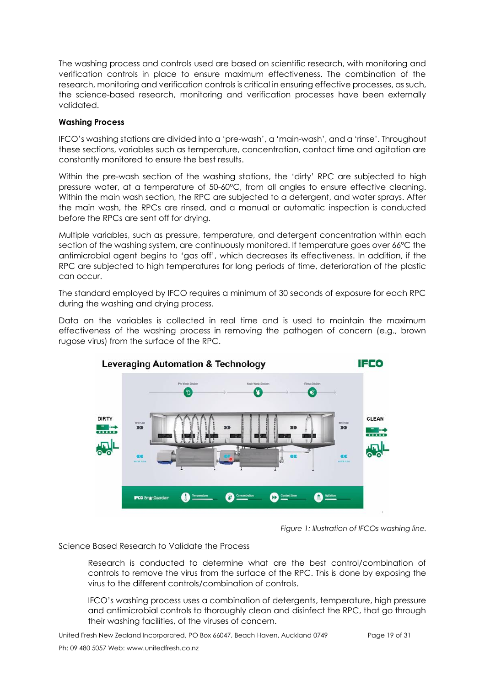The washing process and controls used are based on scientific research, with monitoring and verification controls in place to ensure maximum effectiveness. The combination of the research, monitoring and verification controls is critical in ensuring effective processes, as such, the science-based research, monitoring and verification processes have been externally validated.

### **Washing Process**

IFCO's washing stations are divided into a 'pre-wash', a 'main-wash', and a 'rinse'. Throughout these sections, variables such as temperature, concentration, contact time and agitation are constantly monitored to ensure the best results.

Within the pre-wash section of the washing stations, the 'dirty' RPC are subjected to high pressure water, at a temperature of 50-60°C, from all angles to ensure effective cleaning. Within the main wash section, the RPC are subjected to a detergent, and water sprays. After the main wash, the RPCs are rinsed, and a manual or automatic inspection is conducted before the RPCs are sent off for drying.

Multiple variables, such as pressure, temperature, and detergent concentration within each section of the washing system, are continuously monitored. If temperature goes over 66°C the antimicrobial agent begins to 'gas off', which decreases its effectiveness. In addition, if the RPC are subjected to high temperatures for long periods of time, deterioration of the plastic can occur.

The standard employed by IFCO requires a minimum of 30 seconds of exposure for each RPC during the washing and drying process.

Data on the variables is collected in real time and is used to maintain the maximum effectiveness of the washing process in removing the pathogen of concern (e.g., brown rugose virus) from the surface of the RPC.



*Figure 1: Illustration of IFCOs washing line.*

#### Science Based Research to Validate the Process

Research is conducted to determine what are the best control/combination of controls to remove the virus from the surface of the RPC. This is done by exposing the virus to the different controls/combination of controls.

IFCO's washing process uses a combination of detergents, temperature, high pressure and antimicrobial controls to thoroughly clean and disinfect the RPC, that go through their washing facilities, of the viruses of concern.

United Fresh New Zealand Incorporated, PO Box 66047, Beach Haven, Auckland 0749 Page 19 of 31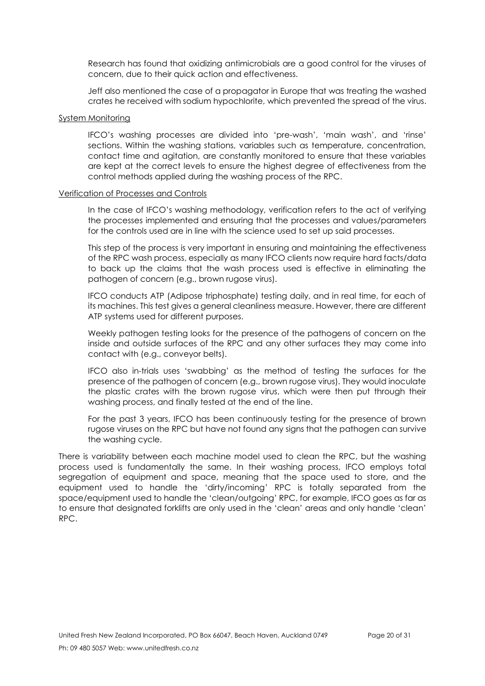Research has found that oxidizing antimicrobials are a good control for the viruses of concern, due to their quick action and effectiveness.

Jeff also mentioned the case of a propagator in Europe that was treating the washed crates he received with sodium hypochlorite, which prevented the spread of the virus.

#### System Monitoring

IFCO's washing processes are divided into 'pre-wash', 'main wash', and 'rinse' sections. Within the washing stations, variables such as temperature, concentration, contact time and agitation, are constantly monitored to ensure that these variables are kept at the correct levels to ensure the highest degree of effectiveness from the control methods applied during the washing process of the RPC.

#### Verification of Processes and Controls

In the case of IFCO's washing methodology, verification refers to the act of verifying the processes implemented and ensuring that the processes and values/parameters for the controls used are in line with the science used to set up said processes.

This step of the process is very important in ensuring and maintaining the effectiveness of the RPC wash process, especially as many IFCO clients now require hard facts/data to back up the claims that the wash process used is effective in eliminating the pathogen of concern (e.g., brown rugose virus).

IFCO conducts ATP (Adipose triphosphate) testing daily, and in real time, for each of its machines. This test gives a general cleanliness measure. However, there are different ATP systems used for different purposes.

Weekly pathogen testing looks for the presence of the pathogens of concern on the inside and outside surfaces of the RPC and any other surfaces they may come into contact with (e.g., conveyor belts).

IFCO also in-trials uses 'swabbing' as the method of testing the surfaces for the presence of the pathogen of concern (e.g., brown rugose virus). They would inoculate the plastic crates with the brown rugose virus, which were then put through their washing process, and finally tested at the end of the line.

For the past 3 years, IFCO has been continuously testing for the presence of brown rugose viruses on the RPC but have not found any signs that the pathogen can survive the washing cycle.

There is variability between each machine model used to clean the RPC, but the washing process used is fundamentally the same. In their washing process, IFCO employs total segregation of equipment and space, meaning that the space used to store, and the equipment used to handle the 'dirty/incoming' RPC is totally separated from the space/equipment used to handle the 'clean/outgoing' RPC, for example, IFCO goes as far as to ensure that designated forklifts are only used in the 'clean' areas and only handle 'clean' RPC.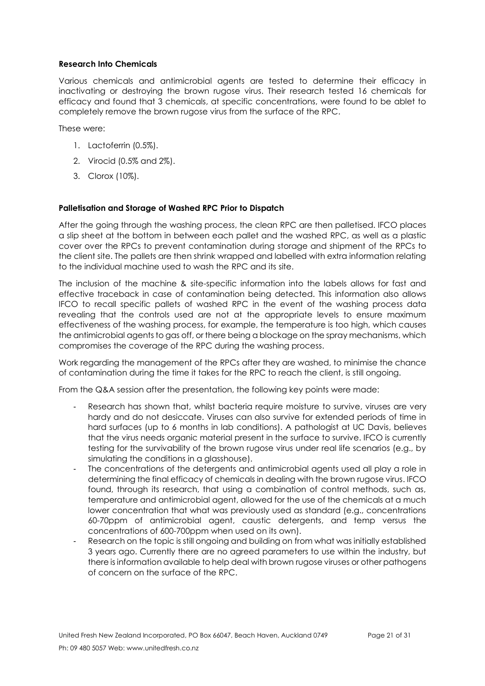### **Research Into Chemicals**

Various chemicals and antimicrobial agents are tested to determine their efficacy in inactivating or destroying the brown rugose virus. Their research tested 16 chemicals for efficacy and found that 3 chemicals, at specific concentrations, were found to be ablet to completely remove the brown rugose virus from the surface of the RPC.

These were:

- 1. Lactoferrin (0.5%).
- 2. Virocid (0.5% and 2%).
- 3. Clorox (10%).

#### **Palletisation and Storage of Washed RPC Prior to Dispatch**

After the going through the washing process, the clean RPC are then palletised. IFCO places a slip sheet at the bottom in between each pallet and the washed RPC, as well as a plastic cover over the RPCs to prevent contamination during storage and shipment of the RPCs to the client site. The pallets are then shrink wrapped and labelled with extra information relating to the individual machine used to wash the RPC and its site.

The inclusion of the machine & site-specific information into the labels allows for fast and effective traceback in case of contamination being detected. This information also allows IFCO to recall specific pallets of washed RPC in the event of the washing process data revealing that the controls used are not at the appropriate levels to ensure maximum effectiveness of the washing process, for example, the temperature is too high, which causes the antimicrobial agents to gas off, or there being a blockage on the spray mechanisms, which compromises the coverage of the RPC during the washing process.

Work regarding the management of the RPCs after they are washed, to minimise the chance of contamination during the time it takes for the RPC to reach the client, is still ongoing.

From the Q&A session after the presentation, the following key points were made:

- Research has shown that, whilst bacteria require moisture to survive, viruses are very hardy and do not desiccate. Viruses can also survive for extended periods of time in hard surfaces (up to 6 months in lab conditions). A pathologist at UC Davis, believes that the virus needs organic material present in the surface to survive. IFCO is currently testing for the survivability of the brown rugose virus under real life scenarios (e.g., by simulating the conditions in a glasshouse).
- The concentrations of the detergents and antimicrobial agents used all play a role in determining the final efficacy of chemicals in dealing with the brown rugose virus. IFCO found, through its research, that using a combination of control methods, such as, temperature and antimicrobial agent, allowed for the use of the chemicals at a much lower concentration that what was previously used as standard (e.g., concentrations 60-70ppm of antimicrobial agent, caustic detergents, and temp versus the concentrations of 600-700ppm when used on its own).
- Research on the topic is still ongoing and building on from what was initially established 3 years ago. Currently there are no agreed parameters to use within the industry, but there is information available to help deal with brown rugose viruses or other pathogens of concern on the surface of the RPC.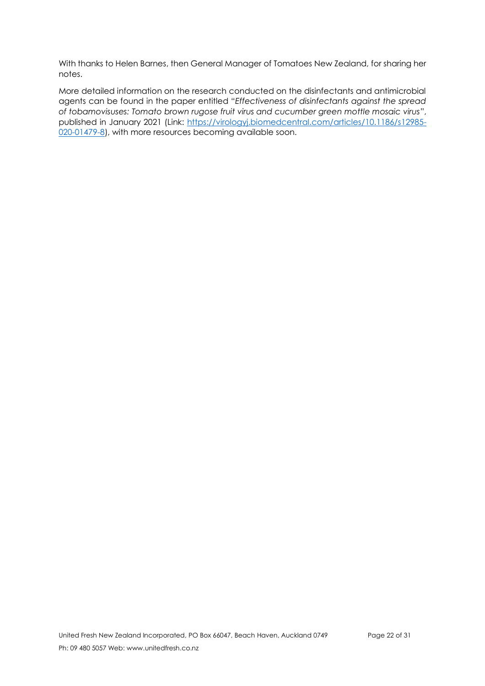With thanks to Helen Barnes, then General Manager of Tomatoes New Zealand, for sharing her notes.

More detailed information on the research conducted on the disinfectants and antimicrobial agents can be found in the paper entitled "*Effectiveness of disinfectants against the spread of tobamovisuses: Tomato brown rugose fruit virus and cucumber green mottle mosaic virus*", published in January 2021 (Link: [https://virologyj.biomedcentral.com/articles/10.1186/s12985-](https://virologyj.biomedcentral.com/articles/10.1186/s12985-020-01479-8) [020-01479-8\)](https://virologyj.biomedcentral.com/articles/10.1186/s12985-020-01479-8), with more resources becoming available soon.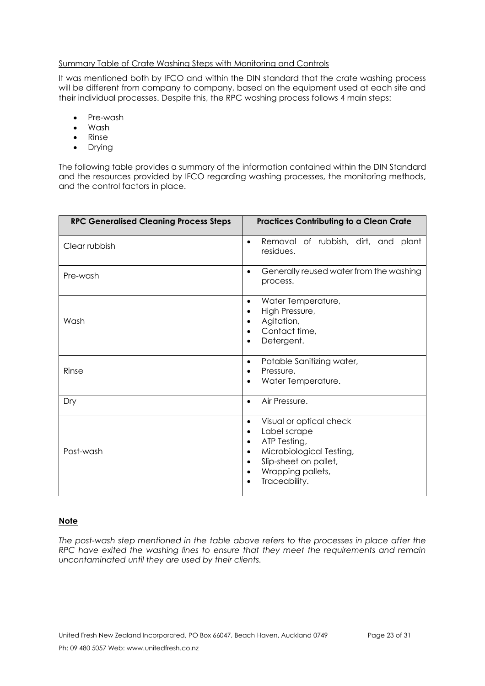#### <span id="page-22-0"></span>Summary Table of Crate Washing Steps with Monitoring and Controls

It was mentioned both by IFCO and within the DIN standard that the crate washing process will be different from company to company, based on the equipment used at each site and their individual processes. Despite this, the RPC washing process follows 4 main steps:

- Pre-wash
- Wash
- Rinse
- Drying

The following table provides a summary of the information contained within the DIN Standard and the resources provided by IFCO regarding washing processes, the monitoring methods, and the control factors in place.

| <b>RPC Generalised Cleaning Process Steps</b> | <b>Practices Contributing to a Clean Crate</b>                                                                                                                               |
|-----------------------------------------------|------------------------------------------------------------------------------------------------------------------------------------------------------------------------------|
| Clear rubbish                                 | Removal of rubbish, dirt, and plant<br>$\bullet$<br>residues.                                                                                                                |
| Pre-wash                                      | Generally reused water from the washing<br>process.                                                                                                                          |
| Wash                                          | Water Temperature,<br>High Pressure,<br>Agitation,<br>Contact time,<br>Detergent.                                                                                            |
| Rinse                                         | Potable Sanitizing water,<br>$\bullet$<br>Pressure,<br>$\bullet$<br>Water Temperature.<br>$\bullet$                                                                          |
| Dry                                           | Air Pressure.<br>$\bullet$                                                                                                                                                   |
| Post-wash                                     | Visual or optical check<br>Label scrape<br>$\bullet$<br>ATP Testing,<br>$\bullet$<br>Microbiological Testing,<br>Slip-sheet on pallet,<br>Wrapping pallets,<br>Traceability. |

## **Note**

*The post-wash step mentioned in the table above refers to the processes in place after the RPC have exited the washing lines to ensure that they meet the requirements and remain uncontaminated until they are used by their clients.*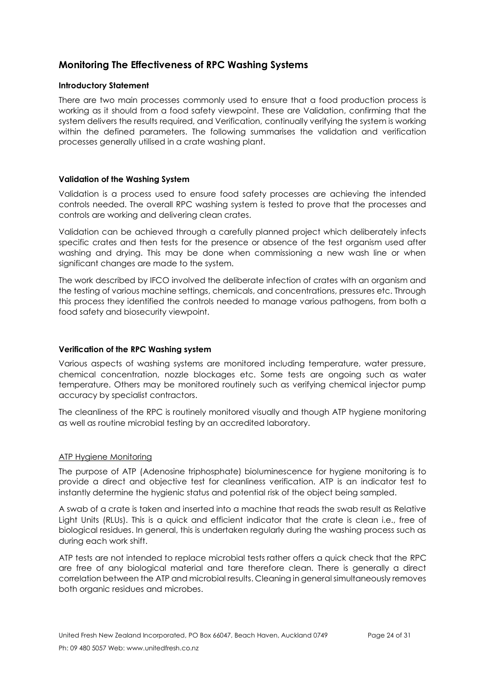# <span id="page-23-0"></span>**Monitoring The Effectiveness of RPC Washing Systems**

#### <span id="page-23-1"></span>**Introductory Statement**

There are two main processes commonly used to ensure that a food production process is working as it should from a food safety viewpoint. These are Validation, confirming that the system delivers the results required, and Verification, continually verifying the system is working within the defined parameters. The following summarises the validation and verification processes generally utilised in a crate washing plant.

#### <span id="page-23-2"></span>**Validation of the Washing System**

Validation is a process used to ensure food safety processes are achieving the intended controls needed. The overall RPC washing system is tested to prove that the processes and controls are working and delivering clean crates.

Validation can be achieved through a carefully planned project which deliberately infects specific crates and then tests for the presence or absence of the test organism used after washing and drying. This may be done when commissioning a new wash line or when significant changes are made to the system.

The work described by IFCO involved the deliberate infection of crates with an organism and the testing of various machine settings, chemicals, and concentrations, pressures etc. Through this process they identified the controls needed to manage various pathogens, from both a food safety and biosecurity viewpoint.

#### <span id="page-23-3"></span>**Verification of the RPC Washing system**

Various aspects of washing systems are monitored including temperature, water pressure, chemical concentration, nozzle blockages etc. Some tests are ongoing such as water temperature. Others may be monitored routinely such as verifying chemical injector pump accuracy by specialist contractors.

The cleanliness of the RPC is routinely monitored visually and though ATP hygiene monitoring as well as routine microbial testing by an accredited laboratory.

#### <span id="page-23-4"></span>ATP Hygiene Monitoring

The purpose of ATP (Adenosine triphosphate) bioluminescence for hygiene monitoring is to provide a direct and objective test for cleanliness verification. ATP is an indicator test to instantly determine the hygienic status and potential risk of the object being sampled.

A swab of a crate is taken and inserted into a machine that reads the swab result as Relative Light Units (RLUs). This is a quick and efficient indicator that the crate is clean i.e., free of biological residues. In general, this is undertaken regularly during the washing process such as during each work shift.

ATP tests are not intended to replace microbial tests rather offers a quick check that the RPC are free of any biological material and tare therefore clean. There is generally a direct correlation between the ATP and microbial results. Cleaning in general simultaneously removes both organic residues and microbes.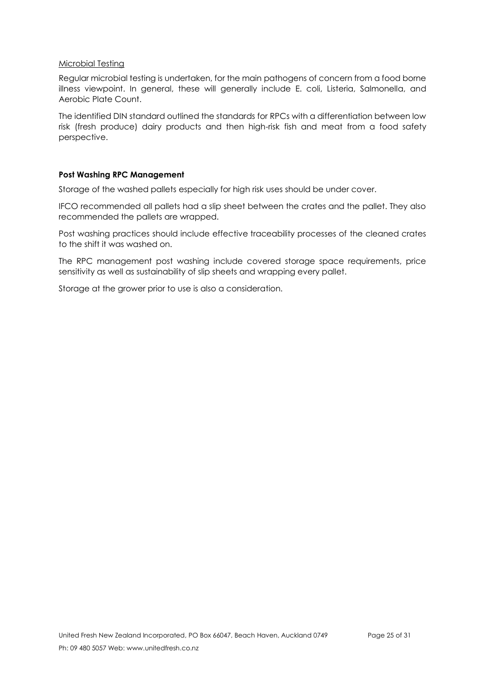#### <span id="page-24-0"></span>Microbial Testing

Regular microbial testing is undertaken, for the main pathogens of concern from a food borne illness viewpoint. In general, these will generally include E. coli, Listeria, Salmonella, and Aerobic Plate Count.

The identified DIN standard outlined the standards for RPCs with a differentiation between low risk (fresh produce) dairy products and then high-risk fish and meat from a food safety perspective.

## <span id="page-24-1"></span>**Post Washing RPC Management**

Storage of the washed pallets especially for high risk uses should be under cover.

IFCO recommended all pallets had a slip sheet between the crates and the pallet. They also recommended the pallets are wrapped.

Post washing practices should include effective traceability processes of the cleaned crates to the shift it was washed on.

The RPC management post washing include covered storage space requirements, price sensitivity as well as sustainability of slip sheets and wrapping every pallet.

Storage at the grower prior to use is also a consideration.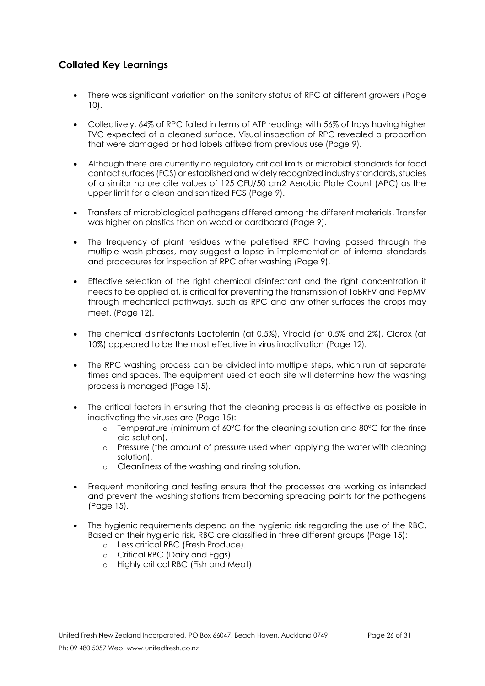# <span id="page-25-0"></span>**Collated Key Learnings**

- There was significant variation on the sanitary status of RPC at different growers (Page 10).
- Collectively, 64% of RPC failed in terms of ATP readings with 56% of trays having higher TVC expected of a cleaned surface. Visual inspection of RPC revealed a proportion that were damaged or had labels affixed from previous use (Page 9).
- Although there are currently no regulatory critical limits or microbial standards for food contact surfaces (FCS) or established and widely recognized industry standards, studies of a similar nature cite values of 125 CFU/50 cm2 Aerobic Plate Count (APC) as the upper limit for a clean and sanitized FCS (Page 9).
- Transfers of microbiological pathogens differed among the different materials. Transfer was higher on plastics than on wood or cardboard (Page 9).
- The frequency of plant residues withe palletised RPC having passed through the multiple wash phases, may suggest a lapse in implementation of internal standards and procedures for inspection of RPC after washing (Page 9).
- Effective selection of the right chemical disinfectant and the right concentration it needs to be applied at, is critical for preventing the transmission of ToBRFV and PepMV through mechanical pathways, such as RPC and any other surfaces the crops may meet. (Page 12).
- The chemical disinfectants Lactoferrin (at 0.5%), Virocid (at 0.5% and 2%), Clorox (at 10%) appeared to be the most effective in virus inactivation (Page 12).
- The RPC washing process can be divided into multiple steps, which run at separate times and spaces. The equipment used at each site will determine how the washing process is managed (Page 15).
- The critical factors in ensuring that the cleaning process is as effective as possible in inactivating the viruses are (Page 15):
	- $\circ$  Temperature (minimum of 60 $\degree$ C for the cleaning solution and 80 $\degree$ C for the rinse aid solution).
	- o Pressure (the amount of pressure used when applying the water with cleaning solution).
	- o Cleanliness of the washing and rinsing solution.
- Frequent monitoring and testing ensure that the processes are working as intended and prevent the washing stations from becoming spreading points for the pathogens (Page 15).
- The hygienic requirements depend on the hygienic risk regarding the use of the RBC. Based on their hygienic risk, RBC are classified in three different groups (Page 15):
	- o Less critical RBC (Fresh Produce).
	- o Critical RBC (Dairy and Eggs).
	- o Highly critical RBC (Fish and Meat).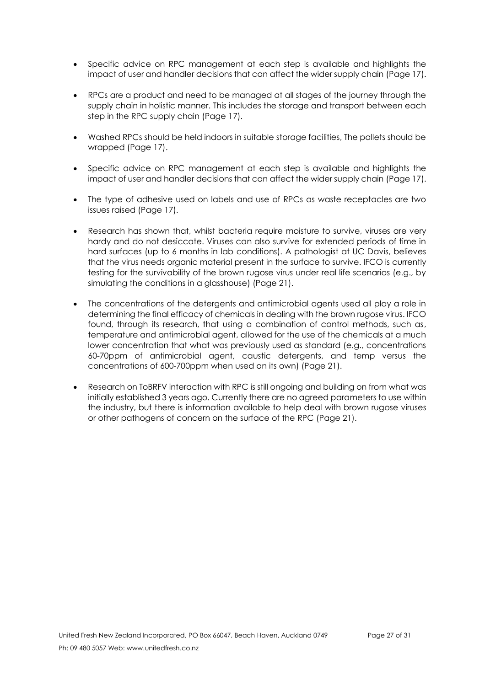- Specific advice on RPC management at each step is available and highlights the impact of user and handler decisions that can affect the wider supply chain (Page 17).
- RPCs are a product and need to be managed at all stages of the journey through the supply chain in holistic manner. This includes the storage and transport between each step in the RPC supply chain (Page 17).
- Washed RPCs should be held indoors in suitable storage facilities, The pallets should be wrapped (Page 17).
- Specific advice on RPC management at each step is available and highlights the impact of user and handler decisions that can affect the wider supply chain (Page 17).
- The type of adhesive used on labels and use of RPCs as waste receptacles are two issues raised (Page 17).
- Research has shown that, whilst bacteria require moisture to survive, viruses are very hardy and do not desiccate. Viruses can also survive for extended periods of time in hard surfaces (up to 6 months in lab conditions). A pathologist at UC Davis, believes that the virus needs organic material present in the surface to survive. IFCO is currently testing for the survivability of the brown rugose virus under real life scenarios (e.g., by simulating the conditions in a glasshouse) (Page 21).
- The concentrations of the detergents and antimicrobial agents used all play a role in determining the final efficacy of chemicals in dealing with the brown rugose virus. IFCO found, through its research, that using a combination of control methods, such as, temperature and antimicrobial agent, allowed for the use of the chemicals at a much lower concentration that what was previously used as standard (e.g., concentrations 60-70ppm of antimicrobial agent, caustic detergents, and temp versus the concentrations of 600-700ppm when used on its own) (Page 21).
- Research on ToBRFV interaction with RPC is still ongoing and building on from what was initially established 3 years ago. Currently there are no agreed parameters to use within the industry, but there is information available to help deal with brown rugose viruses or other pathogens of concern on the surface of the RPC (Page 21).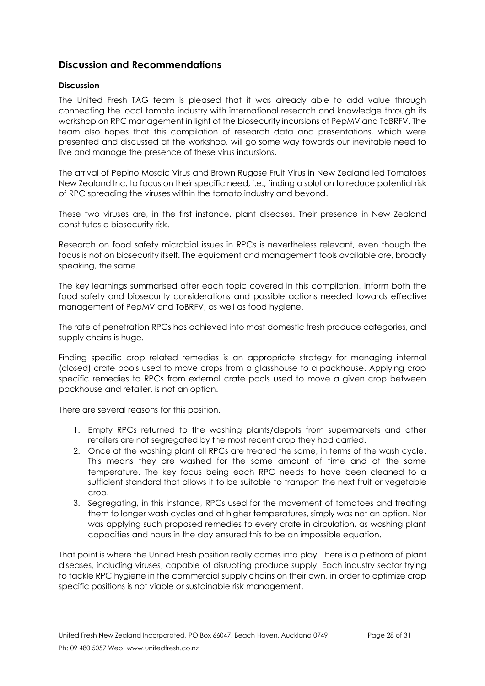# <span id="page-27-0"></span>**Discussion and Recommendations**

## <span id="page-27-1"></span>**Discussion**

The United Fresh TAG team is pleased that it was already able to add value through connecting the local tomato industry with international research and knowledge through its workshop on RPC management in light of the biosecurity incursions of PepMV and ToBRFV. The team also hopes that this compilation of research data and presentations, which were presented and discussed at the workshop, will go some way towards our inevitable need to live and manage the presence of these virus incursions.

The arrival of Pepino Mosaic Virus and Brown Rugose Fruit Virus in New Zealand led Tomatoes New Zealand Inc. to focus on their specific need, i.e., finding a solution to reduce potential risk of RPC spreading the viruses within the tomato industry and beyond.

These two viruses are, in the first instance, plant diseases. Their presence in New Zealand constitutes a biosecurity risk.

Research on food safety microbial issues in RPCs is nevertheless relevant, even though the focus is not on biosecurity itself. The equipment and management tools available are, broadly speaking, the same.

The key learnings summarised after each topic covered in this compilation, inform both the food safety and biosecurity considerations and possible actions needed towards effective management of PepMV and ToBRFV, as well as food hygiene.

The rate of penetration RPCs has achieved into most domestic fresh produce categories, and supply chains is huge.

Finding specific crop related remedies is an appropriate strategy for managing internal (closed) crate pools used to move crops from a glasshouse to a packhouse. Applying crop specific remedies to RPCs from external crate pools used to move a given crop between packhouse and retailer, is not an option.

There are several reasons for this position.

- 1. Empty RPCs returned to the washing plants/depots from supermarkets and other retailers are not segregated by the most recent crop they had carried.
- 2. Once at the washing plant all RPCs are treated the same, in terms of the wash cycle. This means they are washed for the same amount of time and at the same temperature. The key focus being each RPC needs to have been cleaned to a sufficient standard that allows it to be suitable to transport the next fruit or vegetable crop.
- 3. Segregating, in this instance, RPCs used for the movement of tomatoes and treating them to longer wash cycles and at higher temperatures, simply was not an option. Nor was applying such proposed remedies to every crate in circulation, as washing plant capacities and hours in the day ensured this to be an impossible equation.

That point is where the United Fresh position really comes into play. There is a plethora of plant diseases, including viruses, capable of disrupting produce supply. Each industry sector trying to tackle RPC hygiene in the commercial supply chains on their own, in order to optimize crop specific positions is not viable or sustainable risk management.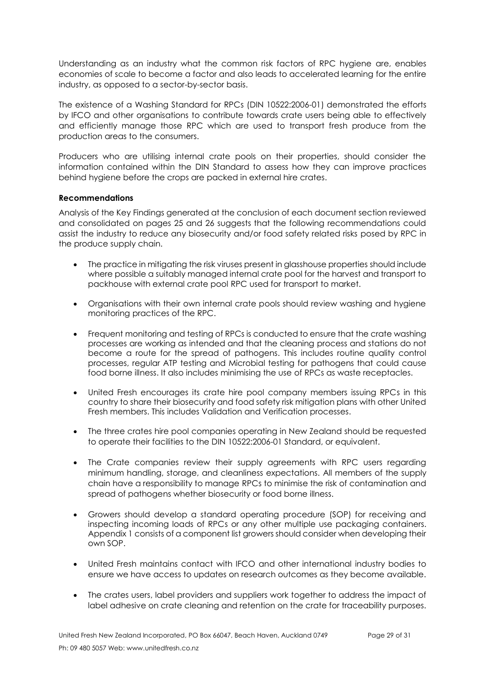Understanding as an industry what the common risk factors of RPC hygiene are, enables economies of scale to become a factor and also leads to accelerated learning for the entire industry, as opposed to a sector-by-sector basis.

The existence of a Washing Standard for RPCs (DIN 10522:2006-01) demonstrated the efforts by IFCO and other organisations to contribute towards crate users being able to effectively and efficiently manage those RPC which are used to transport fresh produce from the production areas to the consumers.

Producers who are utilising internal crate pools on their properties, should consider the information contained within the DIN Standard to assess how they can improve practices behind hygiene before the crops are packed in external hire crates.

## <span id="page-28-0"></span>**Recommendations**

Analysis of the Key Findings generated at the conclusion of each document section reviewed and consolidated on pages 25 and 26 suggests that the following recommendations could assist the industry to reduce any biosecurity and/or food safety related risks posed by RPC in the produce supply chain.

- The practice in mitigating the risk viruses present in glasshouse properties should include where possible a suitably managed internal crate pool for the harvest and transport to packhouse with external crate pool RPC used for transport to market.
- Organisations with their own internal crate pools should review washing and hygiene monitoring practices of the RPC.
- Frequent monitoring and testing of RPCs is conducted to ensure that the crate washing processes are working as intended and that the cleaning process and stations do not become a route for the spread of pathogens. This includes routine quality control processes, regular ATP testing and Microbial testing for pathogens that could cause food borne illness. It also includes minimising the use of RPCs as waste receptacles.
- United Fresh encourages its crate hire pool company members issuing RPCs in this country to share their biosecurity and food safety risk mitigation plans with other United Fresh members. This includes Validation and Verification processes.
- The three crates hire pool companies operating in New Zealand should be requested to operate their facilities to the DIN 10522:2006-01 Standard, or equivalent.
- The Crate companies review their supply agreements with RPC users regarding minimum handling, storage, and cleanliness expectations. All members of the supply chain have a responsibility to manage RPCs to minimise the risk of contamination and spread of pathogens whether biosecurity or food borne illness.
- Growers should develop a standard operating procedure (SOP) for receiving and inspecting incoming loads of RPCs or any other multiple use packaging containers. Appendix 1 consists of a component list growers should consider when developing their own SOP.
- United Fresh maintains contact with IFCO and other international industry bodies to ensure we have access to updates on research outcomes as they become available.
- The crates users, label providers and suppliers work together to address the impact of label adhesive on crate cleaning and retention on the crate for traceability purposes.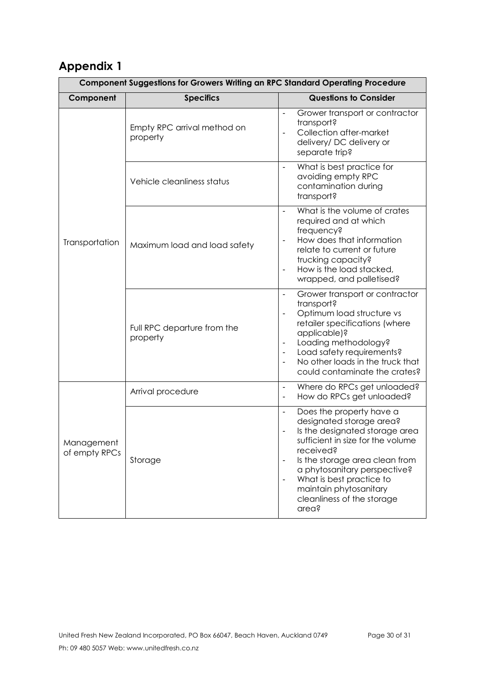# <span id="page-29-0"></span>**Appendix 1**

| <b>Component Suggestions for Growers Writing an RPC Standard Operating Procedure</b> |                                         |                                                                                                                                                                                                                                                                                                                           |  |  |
|--------------------------------------------------------------------------------------|-----------------------------------------|---------------------------------------------------------------------------------------------------------------------------------------------------------------------------------------------------------------------------------------------------------------------------------------------------------------------------|--|--|
| Component                                                                            | <b>Specifics</b>                        | <b>Questions to Consider</b>                                                                                                                                                                                                                                                                                              |  |  |
| Transportation                                                                       | Empty RPC arrival method on<br>property | Grower transport or contractor<br>$\overline{a}$<br>transport?<br>Collection after-market<br>delivery/ DC delivery or<br>separate trip?                                                                                                                                                                                   |  |  |
|                                                                                      | Vehicle cleanliness status              | What is best practice for<br>$\overline{a}$<br>avoiding empty RPC<br>contamination during<br>transport?                                                                                                                                                                                                                   |  |  |
|                                                                                      | Maximum load and load safety            | What is the volume of crates<br>required and at which<br>frequency?<br>How does that information<br>relate to current or future<br>trucking capacity?<br>How is the load stacked,<br>wrapped, and palletised?                                                                                                             |  |  |
|                                                                                      | Full RPC departure from the<br>property | Grower transport or contractor<br>$\overline{a}$<br>transport?<br>Optimum load structure vs<br>retailer specifications (where<br>applicable)?<br>Loading methodology?<br>$\overline{\phantom{a}}$<br>Load safety requirements?<br>No other loads in the truck that<br>could contaminate the crates?                       |  |  |
| Management<br>of empty RPCs                                                          | Arrival procedure                       | Where do RPCs get unloaded?<br>$\blacksquare$<br>How do RPCs get unloaded?<br>$\blacksquare$                                                                                                                                                                                                                              |  |  |
|                                                                                      | Storage                                 | Does the property have a<br>$\overline{a}$<br>designated storage area?<br>Is the designated storage area<br>sufficient in size for the volume<br>received?<br>Is the storage area clean from<br>a phytosanitary perspective?<br>What is best practice to<br>maintain phytosanitary<br>cleanliness of the storage<br>area? |  |  |